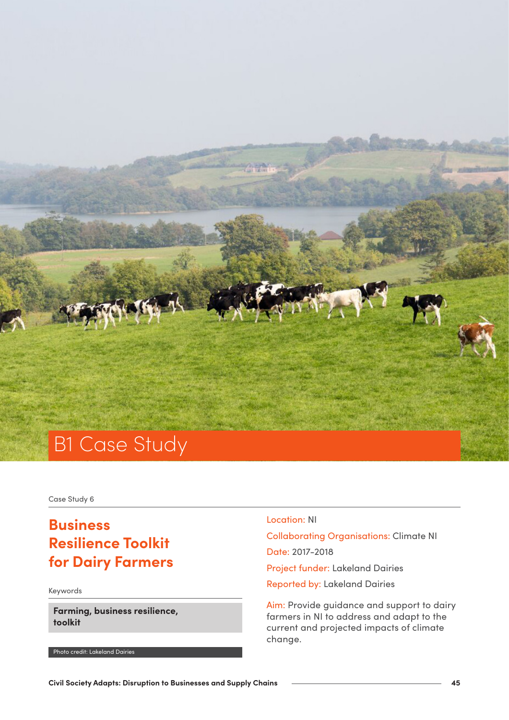

Case Study 6

# **Business Resilience Toolkit for Dairy Farmers**

Keywords

**Farming, business resilience, toolkit**

Photo credit: Lakeland Dairies

## Location: NI

Collaborating Organisations: Climate NI Date: 2017-2018 Project funder: Lakeland Dairies

Reported by: Lakeland Dairies

Aim: Provide guidance and support to dairy farmers in NI to address and adapt to the current and projected impacts of climate change.